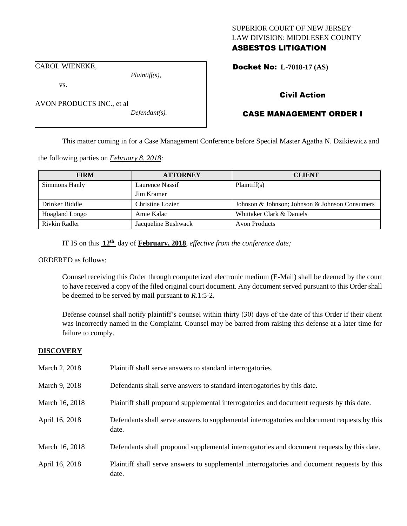# SUPERIOR COURT OF NEW JERSEY LAW DIVISION: MIDDLESEX COUNTY ASBESTOS LITIGATION

Docket No: **L-7018-17 (AS)** 

CAROL WIENEKE,

vs.

*Plaintiff(s),*

*Defendant(s).*

AVON PRODUCTS INC., et al

Civil Action

# CASE MANAGEMENT ORDER I

This matter coming in for a Case Management Conference before Special Master Agatha N. Dzikiewicz and

the following parties on *February 8, 2018:*

| <b>FIRM</b>           | <b>ATTORNEY</b>     | <b>CLIENT</b>                                  |
|-----------------------|---------------------|------------------------------------------------|
| Simmons Hanly         | Laurence Nassif     | Plaintiff(s)                                   |
|                       | Jim Kramer          |                                                |
| Drinker Biddle        | Christine Lozier    | Johnson & Johnson; Johnson & Johnson Consumers |
| <b>Hoagland Longo</b> | Amie Kalac          | Whittaker Clark & Daniels                      |
| Rivkin Radler         | Jacqueline Bushwack | <b>Avon Products</b>                           |

IT IS on this **12th** day of **February, 2018**, *effective from the conference date;*

ORDERED as follows:

Counsel receiving this Order through computerized electronic medium (E-Mail) shall be deemed by the court to have received a copy of the filed original court document. Any document served pursuant to this Order shall be deemed to be served by mail pursuant to *R*.1:5-2.

Defense counsel shall notify plaintiff's counsel within thirty (30) days of the date of this Order if their client was incorrectly named in the Complaint. Counsel may be barred from raising this defense at a later time for failure to comply.

# **DISCOVERY**

| March 2, 2018  | Plaintiff shall serve answers to standard interrogatories.                                            |
|----------------|-------------------------------------------------------------------------------------------------------|
| March 9, 2018  | Defendants shall serve answers to standard interrogatories by this date.                              |
| March 16, 2018 | Plaintiff shall propound supplemental interrogatories and document requests by this date.             |
| April 16, 2018 | Defendants shall serve answers to supplemental interrogatories and document requests by this<br>date. |
| March 16, 2018 | Defendants shall propound supplemental interrogatories and document requests by this date.            |
| April 16, 2018 | Plaintiff shall serve answers to supplemental interrogatories and document requests by this<br>date.  |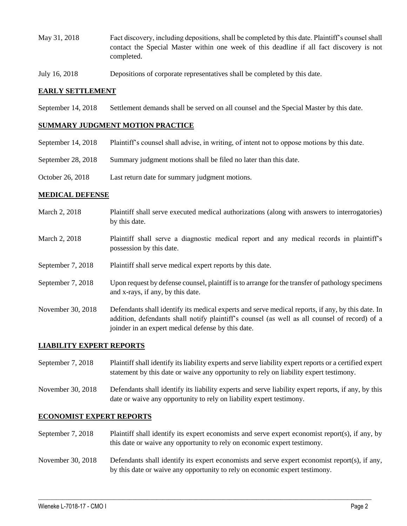- May 31, 2018 Fact discovery, including depositions, shall be completed by this date. Plaintiff's counsel shall contact the Special Master within one week of this deadline if all fact discovery is not completed.
- July 16, 2018 Depositions of corporate representatives shall be completed by this date.

## **EARLY SETTLEMENT**

September 14, 2018 Settlement demands shall be served on all counsel and the Special Master by this date.

## **SUMMARY JUDGMENT MOTION PRACTICE**

- September 14, 2018 Plaintiff's counsel shall advise, in writing, of intent not to oppose motions by this date.
- September 28, 2018 Summary judgment motions shall be filed no later than this date.
- October 26, 2018 Last return date for summary judgment motions.

## **MEDICAL DEFENSE**

- March 2, 2018 Plaintiff shall serve executed medical authorizations (along with answers to interrogatories) by this date.
- March 2, 2018 Plaintiff shall serve a diagnostic medical report and any medical records in plaintiff's possession by this date.
- September 7, 2018 Plaintiff shall serve medical expert reports by this date.
- September 7, 2018 Upon request by defense counsel, plaintiff is to arrange for the transfer of pathology specimens and x-rays, if any, by this date.
- November 30, 2018 Defendants shall identify its medical experts and serve medical reports, if any, by this date. In addition, defendants shall notify plaintiff's counsel (as well as all counsel of record) of a joinder in an expert medical defense by this date.

#### **LIABILITY EXPERT REPORTS**

- September 7, 2018 Plaintiff shall identify its liability experts and serve liability expert reports or a certified expert statement by this date or waive any opportunity to rely on liability expert testimony.
- November 30, 2018 Defendants shall identify its liability experts and serve liability expert reports, if any, by this date or waive any opportunity to rely on liability expert testimony.

#### **ECONOMIST EXPERT REPORTS**

- September 7, 2018 Plaintiff shall identify its expert economists and serve expert economist report(s), if any, by this date or waive any opportunity to rely on economic expert testimony.
- November 30, 2018 Defendants shall identify its expert economists and serve expert economist report(s), if any, by this date or waive any opportunity to rely on economic expert testimony.

 $\_$  ,  $\_$  ,  $\_$  ,  $\_$  ,  $\_$  ,  $\_$  ,  $\_$  ,  $\_$  ,  $\_$  ,  $\_$  ,  $\_$  ,  $\_$  ,  $\_$  ,  $\_$  ,  $\_$  ,  $\_$  ,  $\_$  ,  $\_$  ,  $\_$  ,  $\_$  ,  $\_$  ,  $\_$  ,  $\_$  ,  $\_$  ,  $\_$  ,  $\_$  ,  $\_$  ,  $\_$  ,  $\_$  ,  $\_$  ,  $\_$  ,  $\_$  ,  $\_$  ,  $\_$  ,  $\_$  ,  $\_$  ,  $\_$  ,